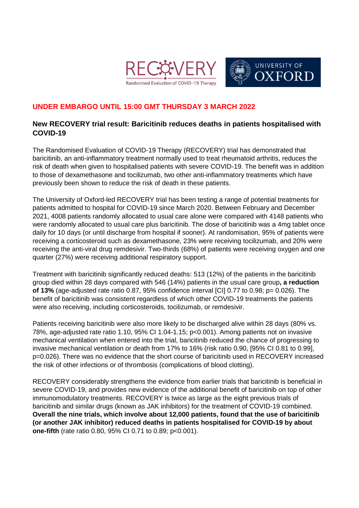



## **UNDER EMBARGO UNTIL 15:00 GMT THURSDAY 3 MARCH 2022**

## **New RECOVERY trial result: Baricitinib reduces deaths in patients hospitalised with COVID-19**

The Randomised Evaluation of COVID-19 Therapy (RECOVERY) trial has demonstrated that baricitinib, an anti-inflammatory treatment normally used to treat rheumatoid arthritis, reduces the risk of death when given to hospitalised patients with severe COVID-19. The benefit was in addition to those of dexamethasone and tocilizumab, two other anti-inflammatory treatments which have previously been shown to reduce the risk of death in these patients.

The University of Oxford-led RECOVERY trial has been testing a range of potential treatments for patients admitted to hospital for COVID-19 since March 2020. Between February and December 2021, 4008 patients randomly allocated to usual care alone were compared with 4148 patients who were randomly allocated to usual care plus baricitinib. The dose of baricitinib was a 4mg tablet once daily for 10 days (or until discharge from hospital if sooner). At randomisation, 95% of patients were receiving a corticosteroid such as dexamethasone, 23% were receiving tocilizumab, and 20% were receiving the anti-viral drug remdesivir. Two-thirds (68%) of patients were receiving oxygen and one quarter (27%) were receiving additional respiratory support.

Treatment with baricitinib significantly reduced deaths: 513 (12%) of the patients in the baricitinib group died within 28 days compared with 546 (14%) patients in the usual care group**, a reduction of 13%** (age-adjusted rate ratio 0.87, 95% confidence interval [CI] 0.77 to 0.98; p= 0.026). The benefit of baricitinib was consistent regardless of which other COVID-19 treatments the patients were also receiving, including corticosteroids, tocilizumab, or remdesivir.

Patients receiving baricitinib were also more likely to be discharged alive within 28 days (80% vs. 78%, age-adjusted rate ratio 1.10, 95% CI 1.04-1.15; p<0.001). Among patients not on invasive mechanical ventilation when entered into the trial, baricitinib reduced the chance of progressing to invasive mechanical ventilation or death from 17% to 16% (risk ratio 0.90, [95% CI 0.81 to 0.99], p=0.026). There was no evidence that the short course of baricitinib used in RECOVERY increased the risk of other infections or of thrombosis (complications of blood clotting).

RECOVERY considerably strengthens the evidence from earlier trials that baricitinib is beneficial in severe COVID-19, and provides new evidence of the additional benefit of baricitinib on top of other immunomodulatory treatments. RECOVERY is twice as large as the eight previous trials of baricitinib and similar drugs (known as JAK inhibitors) for the treatment of COVID-19 combined. **Overall the nine trials, which involve about 12,000 patients, found that the use of baricitinib (or another JAK inhibitor) reduced deaths in patients hospitalised for COVID-19 by about one-fifth** (rate ratio 0.80, 95% CI 0.71 to 0.89; p<0.001).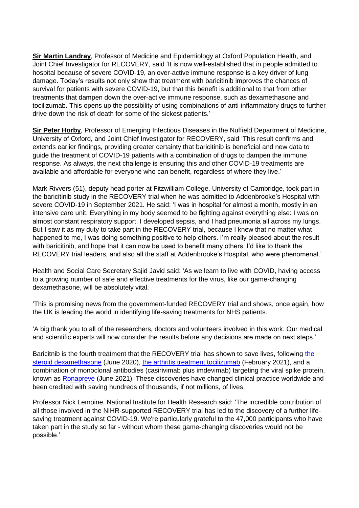**[Sir Martin Landray](https://www.ndph.ox.ac.uk/team/martin-landray)**, Professor of Medicine and Epidemiology at Oxford Population Health, and Joint Chief Investigator for RECOVERY, said 'It is now well-established that in people admitted to hospital because of severe COVID-19, an over-active immune response is a key driver of lung damage. Today's results not only show that treatment with baricitinib improves the chances of survival for patients with severe COVID-19, but that this benefit is additional to that from other treatments that dampen down the over-active immune response, such as dexamethasone and tocilizumab. This opens up the possibility of using combinations of anti-inflammatory drugs to further drive down the risk of death for some of the sickest patients.'

**[Sir Peter Horby](https://www.ndm.ox.ac.uk/principal-investigators/researcher/peter-horby)**, Professor of Emerging Infectious Diseases in the Nuffield Department of Medicine, University of Oxford, and Joint Chief Investigator for RECOVERY, said 'This result confirms and extends earlier findings, providing greater certainty that baricitinib is beneficial and new data to guide the treatment of COVID-19 patients with a combination of drugs to dampen the immune response. As always, the next challenge is ensuring this and other COVID-19 treatments are available and affordable for everyone who can benefit, regardless of where they live.'

Mark Rivvers (51), deputy head porter at Fitzwilliam College, University of Cambridge, took part in the baricitinib study in the RECOVERY trial when he was admitted to Addenbrooke's Hospital with severe COVID-19 in September 2021. He said: 'I was in hospital for almost a month, mostly in an intensive care unit. Everything in my body seemed to be fighting against everything else: I was on almost constant respiratory support, I developed sepsis, and I had pneumonia all across my lungs. But I saw it as my duty to take part in the RECOVERY trial, because I knew that no matter what happened to me, I was doing something positive to help others. I'm really pleased about the result with baricitinib, and hope that it can now be used to benefit many others. I'd like to thank the RECOVERY trial leaders, and also all the staff at Addenbrooke's Hospital, who were phenomenal.'

Health and Social Care Secretary Sajid Javid said: 'As we learn to live with COVID, having access to a growing number of safe and effective treatments for the virus, like our game-changing dexamethasone, will be absolutely vital.

'This is promising news from the government-funded RECOVERY trial and shows, once again, how the UK is leading the world in identifying life-saving treatments for NHS patients.

'A big thank you to all of the researchers, doctors and volunteers involved in this work. Our medical and scientific experts will now consider the results before any decisions are made on next steps.'

Baricitnib is the fourth treatment that the RECOVERY trial has shown to save lives, following [the](https://www.recoverytrial.net/news/low-cost-dexamethasone-reduces-death-by-up-to-one-third-in-hospitalised-patients-with-severe-respiratory-complications-of-covid-19)  [steroid dexamethasone](https://www.recoverytrial.net/news/low-cost-dexamethasone-reduces-death-by-up-to-one-third-in-hospitalised-patients-with-severe-respiratory-complications-of-covid-19) (June 2020), [the arthritis treatment tocilizumab](https://www.recoverytrial.net/news/tocilizumab-reduces-deaths-in-patients-hospitalised-with-covid-19) (February 2021), and a combination of monoclonal antibodies (casirivimab plus imdevimab) targeting the viral spike protein, known as [Ronapreve](https://www.recoverytrial.net/news/recovery-trial-finds-regeneron2019s-monoclonal-antibody-combination-reduces-deaths-for-hospitalised-covid-19-patients-who-have-not-mounted-their-own-immune-response-1) (June 2021). These discoveries have changed clinical practice worldwide and been credited with saving hundreds of thousands, if not millions, of lives.

Professor Nick Lemoine, National Institute for Health Research said: 'The incredible contribution of all those involved in the NIHR-supported RECOVERY trial has led to the discovery of a further lifesaving treatment against COVID-19. We're particularly grateful to the 47,000 participants who have taken part in the study so far - without whom these game-changing discoveries would not be possible.'